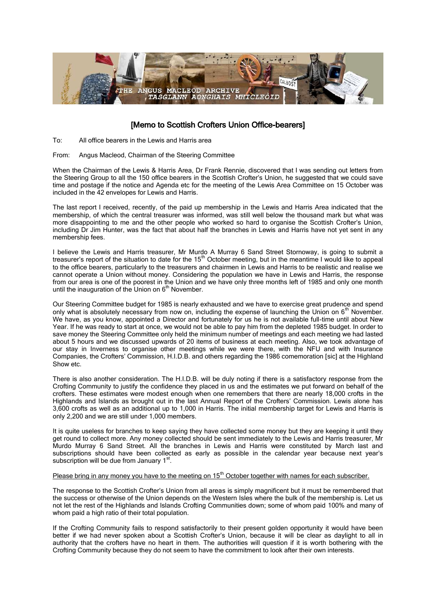

## [Memo to Scottish Crofters Union Office-bearers]

To: All office bearers in the Lewis and Harris area

## From: Angus Macleod, Chairman of the Steering Committee

When the Chairman of the Lewis & Harris Area, Dr Frank Rennie, discovered that I was sending out letters from the Steering Group to all the 150 office bearers in the Scottish Crofter's Union, he suggested that we could save time and postage if the notice and Agenda etc for the meeting of the Lewis Area Committee on 15 October was included in the 42 envelopes for Lewis and Harris.

The last report I received, recently, of the paid up membership in the Lewis and Harris Area indicated that the membership, of which the central treasurer was informed, was still well below the thousand mark but what was more disappointing to me and the other people who worked so hard to organise the Scottish Crofter's Union, including Dr Jim Hunter, was the fact that about half the branches in Lewis and Harris have not yet sent in any membership fees.

I believe the Lewis and Harris treasurer, Mr Murdo A Murray 6 Sand Street Stornoway, is going to submit a treasurer's report of the situation to date for the  $15<sup>th</sup>$  October meeting, but in the meantime I would like to appeal to the office bearers, particularly to the treasurers and chairmen in Lewis and Harris to be realistic and realise we cannot operate a Union without money. Considering the population we have in Lewis and Harris, the response from our area is one of the poorest in the Union and we have only three months left of 1985 and only one month until the inauguration of the Union on  $6<sup>th</sup>$  November.

Our Steering Committee budget for 1985 is nearly exhausted and we have to exercise great prudence and spend only what is absolutely necessary from now on, including the expense of launching the Union on 6<sup>th</sup> November. We have, as you know, appointed a Director and fortunately for us he is not available full-time until about New Year. If he was ready to start at once, we would not be able to pay him from the depleted 1985 budget. In order to save money the Steering Committee only held the minimum number of meetings and each meeting we had lasted about 5 hours and we discussed upwards of 20 items of business at each meeting. Also, we took advantage of our stay in Inverness to organise other meetings while we were there, with the NFU and with Insurance Companies, the Crofters' Commission, H.I.D.B. and others regarding the 1986 comemoration [sic] at the Highland Show etc.

There is also another consideration. The H.I.D.B. will be duly noting if there is a satisfactory response from the Crofting Community to justify the confidence they placed in us and the estimates we put forward on behalf of the crofters. These estimates were modest enough when one remembers that there are nearly 18,000 crofts in the Highlands and Islands as brought out in the last Annual Report of the Crofters' Commission. Lewis alone has 3,600 crofts as well as an additional up to 1,000 in Harris. The initial membership target for Lewis and Harris is only 2,200 and we are still under 1,000 members.

It is quite useless for branches to keep saying they have collected some money but they are keeping it until they get round to collect more. Any money collected should be sent immediately to the Lewis and Harris treasurer, Mr Murdo Murray 6 Sand Street. All the branches in Lewis and Harris were constituted by March last and subscriptions should have been collected as early as possible in the calendar year because next year's subscription will be due from January 1<sup>st</sup>.

## Please bring in any money you have to the meeting on 15<sup>th</sup> October together with names for each subscriber.

The response to the Scottish Crofter's Union from all areas is simply magnificent but it must be remembered that the success or otherwise of the Union depends on the Western Isles where the bulk of the membership is. Let us not let the rest of the Highlands and Islands Crofting Communities down; some of whom paid 100% and many of whom paid a high ratio of their total population.

If the Crofting Community fails to respond satisfactorily to their present golden opportunity it would have been better if we had never spoken about a Scottish Crofter's Union, because it will be clear as daylight to all in authority that the crofters have no heart in them. The authorities will question if it is worth bothering with the Crofting Community because they do not seem to have the commitment to look after their own interests.